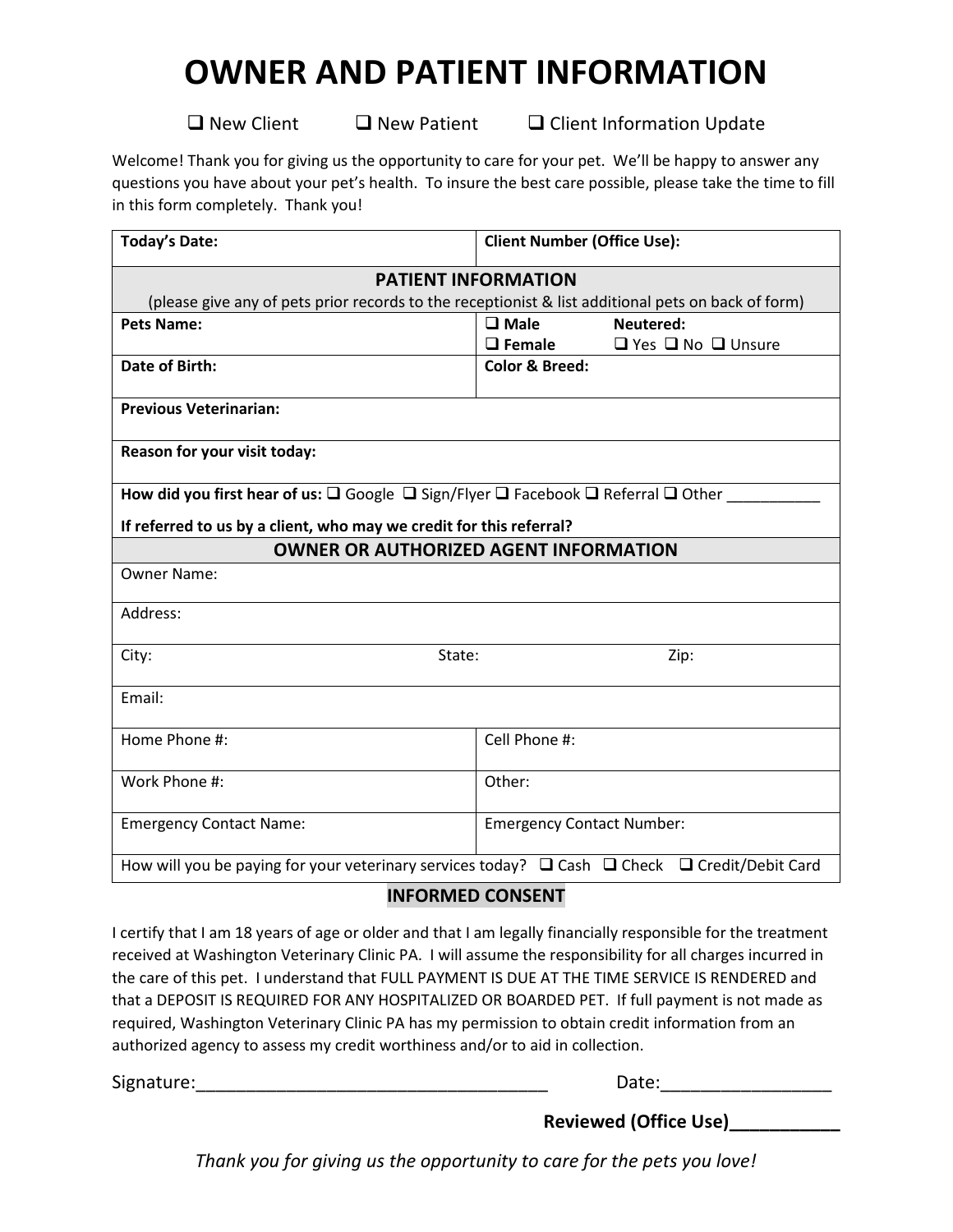## **OWNER AND PATIENT INFORMATION**

 $\Box$  New Client  $\Box$  New Patient  $\Box$  Client Information Update

Welcome! Thank you for giving us the opportunity to care for your pet. We'll be happy to answer any questions you have about your pet's health. To insure the best care possible, please take the time to fill in this form completely. Thank you!

| <b>Today's Date:</b>                                                                                                      | <b>Client Number (Office Use):</b>                  |  |  |  |  |  |
|---------------------------------------------------------------------------------------------------------------------------|-----------------------------------------------------|--|--|--|--|--|
| <b>PATIENT INFORMATION</b>                                                                                                |                                                     |  |  |  |  |  |
| (please give any of pets prior records to the receptionist & list additional pets on back of form)                        |                                                     |  |  |  |  |  |
| <b>Pets Name:</b>                                                                                                         | $\square$ Male<br>Neutered:                         |  |  |  |  |  |
|                                                                                                                           | $\Box$ Female<br>$\Box$ Yes $\Box$ No $\Box$ Unsure |  |  |  |  |  |
| Date of Birth:                                                                                                            | <b>Color &amp; Breed:</b>                           |  |  |  |  |  |
| <b>Previous Veterinarian:</b>                                                                                             |                                                     |  |  |  |  |  |
| Reason for your visit today:                                                                                              |                                                     |  |  |  |  |  |
| How did you first hear of us: $\square$ Google $\square$ Sign/Flyer $\square$ Facebook $\square$ Referral $\square$ Other |                                                     |  |  |  |  |  |
| If referred to us by a client, who may we credit for this referral?                                                       |                                                     |  |  |  |  |  |
| <b>OWNER OR AUTHORIZED AGENT INFORMATION</b>                                                                              |                                                     |  |  |  |  |  |
| <b>Owner Name:</b>                                                                                                        |                                                     |  |  |  |  |  |
| Address:                                                                                                                  |                                                     |  |  |  |  |  |
| City:<br>State:                                                                                                           | Zip:                                                |  |  |  |  |  |
| Email:                                                                                                                    |                                                     |  |  |  |  |  |
| Home Phone #:                                                                                                             | Cell Phone #:                                       |  |  |  |  |  |
| Work Phone #:                                                                                                             | Other:                                              |  |  |  |  |  |
| <b>Emergency Contact Name:</b>                                                                                            | <b>Emergency Contact Number:</b>                    |  |  |  |  |  |
| How will you be paying for your veterinary services today? $\Box$ Cash $\Box$ Check $\Box$ Credit/Debit Card              |                                                     |  |  |  |  |  |

## **INFORMED CONSENT**

I certify that I am 18 years of age or older and that I am legally financially responsible for the treatment received at Washington Veterinary Clinic PA. I will assume the responsibility for all charges incurred in the care of this pet. I understand that FULL PAYMENT IS DUE AT THE TIME SERVICE IS RENDERED and that a DEPOSIT IS REQUIRED FOR ANY HOSPITALIZED OR BOARDED PET. If full payment is not made as required, Washington Veterinary Clinic PA has my permission to obtain credit information from an authorized agency to assess my credit worthiness and/or to aid in collection.

Signature:\_\_\_\_\_\_\_\_\_\_\_\_\_\_\_\_\_\_\_\_\_\_\_\_\_\_\_\_\_\_\_\_\_\_\_ Date:\_\_\_\_\_\_\_\_\_\_\_\_\_\_\_\_\_

**Reviewed (Office Use)\_\_\_\_\_\_\_\_\_\_\_**

*Thank you for giving us the opportunity to care for the pets you love!*